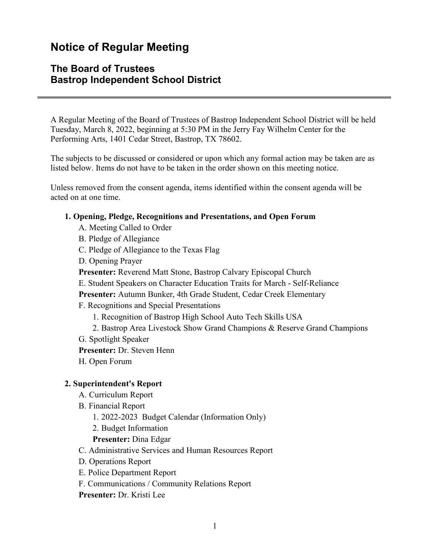# **Notice of Regular Meeting**

# **The Board of Trustees Bastrop Independent School District**

A Regular Meeting of the Board of Trustees of Bastrop Independent School District will be held Tuesday, March 8, 2022, beginning at 5:30 PM in the Jerry Fay Wilhelm Center for the Performing Arts, 1401 Cedar Street, Bastrop, TX 78602.

The subjects to be discussed or considered or upon which any formal action may be taken are as listed below. Items do not have to be taken in the order shown on this meeting notice.

Unless removed from the consent agenda, items identified within the consent agenda will be acted on at one time.

#### **1. Opening, Pledge, Recognitions and Presentations, and Open Forum**

- A. Meeting Called to Order
- B. Pledge of Allegiance
- C. Pledge of Allegiance to the Texas Flag
- D. Opening Prayer
- **Presenter:** Reverend Matt Stone, Bastrop Calvary Episcopal Church
- E. Student Speakers on Character Education Traits for March Self-Reliance
- **Presenter:** Autumn Bunker, 4th Grade Student, Cedar Creek Elementary
- F. Recognitions and Special Presentations
	- 1. Recognition of Bastrop High School Auto Tech Skills USA
	- 2. Bastrop Area Livestock Show Grand Champions & Reserve Grand Champions
- G. Spotlight Speaker
- **Presenter:** Dr. Steven Henn
- H. Open Forum

#### **2. Superintendent's Report**

- A. Curriculum Report
- B. Financial Report
	- 1. 2022-2023 Budget Calendar (Information Only)
	- 2. Budget Information
	- **Presenter:** Dina Edgar
- C. Administrative Services and Human Resources Report
- D. Operations Report
- E. Police Department Report
- F. Communications / Community Relations Report
- **Presenter:** Dr. Kristi Lee